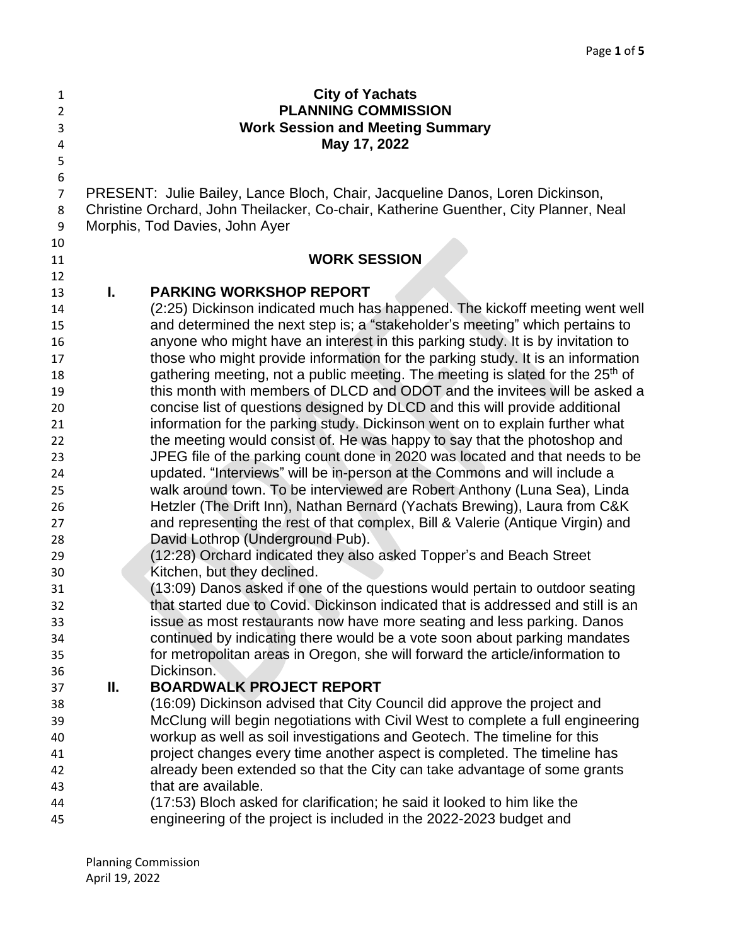| $\mathbf{1}$   |    | <b>City of Yachats</b>                                                                                                                                           |
|----------------|----|------------------------------------------------------------------------------------------------------------------------------------------------------------------|
| 2              |    | <b>PLANNING COMMISSION</b>                                                                                                                                       |
| 3              |    | <b>Work Session and Meeting Summary</b>                                                                                                                          |
| 4              |    | May 17, 2022                                                                                                                                                     |
| 5              |    |                                                                                                                                                                  |
| 6              |    |                                                                                                                                                                  |
| $\overline{7}$ |    | PRESENT: Julie Bailey, Lance Bloch, Chair, Jacqueline Danos, Loren Dickinson,                                                                                    |
| 8              |    | Christine Orchard, John Theilacker, Co-chair, Katherine Guenther, City Planner, Neal                                                                             |
| 9              |    | Morphis, Tod Davies, John Ayer                                                                                                                                   |
| 10             |    |                                                                                                                                                                  |
| 11             |    | <b>WORK SESSION</b>                                                                                                                                              |
| 12             |    |                                                                                                                                                                  |
| 13             | I. | <b>PARKING WORKSHOP REPORT</b>                                                                                                                                   |
| 14             |    | (2:25) Dickinson indicated much has happened. The kickoff meeting went well                                                                                      |
| 15             |    | and determined the next step is; a "stakeholder's meeting" which pertains to                                                                                     |
| 16             |    | anyone who might have an interest in this parking study. It is by invitation to                                                                                  |
| 17             |    | those who might provide information for the parking study. It is an information                                                                                  |
| 18             |    | gathering meeting, not a public meeting. The meeting is slated for the 25 <sup>th</sup> of                                                                       |
| 19             |    | this month with members of DLCD and ODOT and the invitees will be asked a                                                                                        |
| 20             |    | concise list of questions designed by DLCD and this will provide additional                                                                                      |
| 21             |    | information for the parking study. Dickinson went on to explain further what                                                                                     |
| 22             |    | the meeting would consist of. He was happy to say that the photoshop and                                                                                         |
| 23             |    | JPEG file of the parking count done in 2020 was located and that needs to be                                                                                     |
| 24             |    | updated. "Interviews" will be in-person at the Commons and will include a                                                                                        |
| 25             |    | walk around town. To be interviewed are Robert Anthony (Luna Sea), Linda                                                                                         |
| 26             |    | Hetzler (The Drift Inn), Nathan Bernard (Yachats Brewing), Laura from C&K                                                                                        |
| 27             |    | and representing the rest of that complex, Bill & Valerie (Antique Virgin) and                                                                                   |
| 28             |    | David Lothrop (Underground Pub).                                                                                                                                 |
| 29             |    | (12:28) Orchard indicated they also asked Topper's and Beach Street                                                                                              |
| 30             |    | Kitchen, but they declined.                                                                                                                                      |
| 31             |    | (13:09) Danos asked if one of the questions would pertain to outdoor seating<br>that started due to Covid. Dickinson indicated that is addressed and still is an |
| 32<br>33       |    | issue as most restaurants now have more seating and less parking. Danos                                                                                          |
|                |    | continued by indicating there would be a vote soon about parking mandates                                                                                        |
| 34<br>35       |    | for metropolitan areas in Oregon, she will forward the article/information to                                                                                    |
| 36             |    | Dickinson.                                                                                                                                                       |
| 37             | Ш. | <b>BOARDWALK PROJECT REPORT</b>                                                                                                                                  |
| 38             |    | (16:09) Dickinson advised that City Council did approve the project and                                                                                          |
| 39             |    | McClung will begin negotiations with Civil West to complete a full engineering                                                                                   |
| 40             |    | workup as well as soil investigations and Geotech. The timeline for this                                                                                         |
| 41             |    | project changes every time another aspect is completed. The timeline has                                                                                         |
| 42             |    | already been extended so that the City can take advantage of some grants                                                                                         |
| 43             |    | that are available.                                                                                                                                              |
| 44             |    | (17:53) Bloch asked for clarification; he said it looked to him like the                                                                                         |
| 45             |    | engineering of the project is included in the 2022-2023 budget and                                                                                               |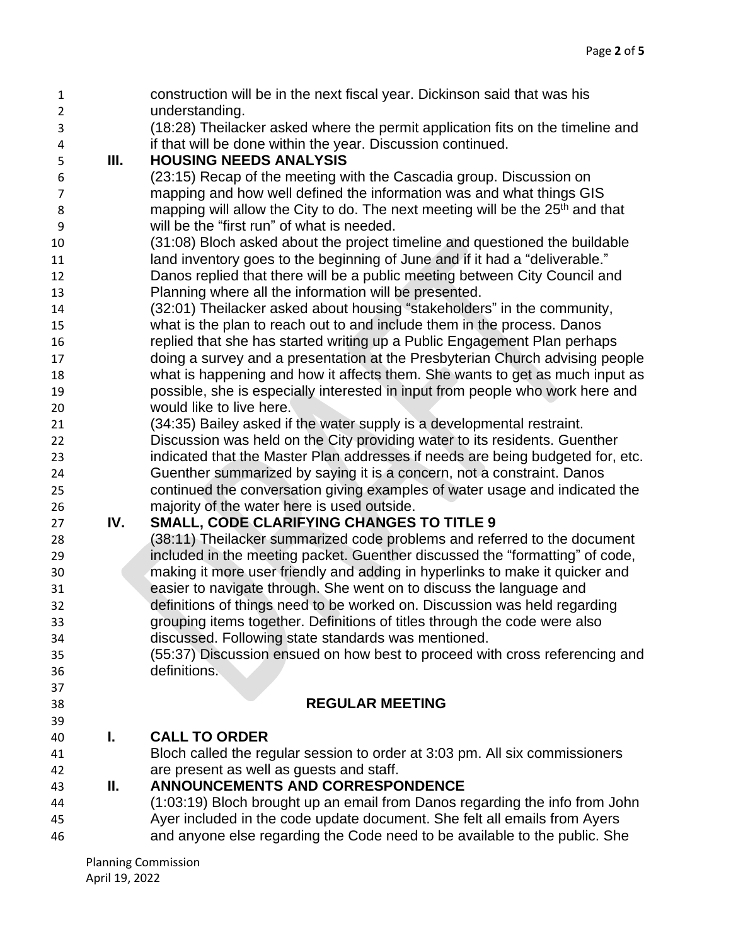| $\mathbf{1}$   |     | construction will be in the next fiscal year. Dickinson said that was his                        |
|----------------|-----|--------------------------------------------------------------------------------------------------|
| $\overline{2}$ |     | understanding.<br>(18:28) Theilacker asked where the permit application fits on the timeline and |
| 3              |     |                                                                                                  |
| 4<br>5         | Ш.  | if that will be done within the year. Discussion continued.<br><b>HOUSING NEEDS ANALYSIS</b>     |
| 6              |     | (23:15) Recap of the meeting with the Cascadia group. Discussion on                              |
|                |     | mapping and how well defined the information was and what things GIS                             |
| 7              |     | mapping will allow the City to do. The next meeting will be the 25 <sup>th</sup> and that        |
| 8              |     | will be the "first run" of what is needed.                                                       |
| 9              |     | (31:08) Bloch asked about the project timeline and questioned the buildable                      |
| 10<br>11       |     | land inventory goes to the beginning of June and if it had a "deliverable."                      |
| 12             |     | Danos replied that there will be a public meeting between City Council and                       |
| 13             |     | Planning where all the information will be presented.                                            |
| 14             |     | (32:01) Theilacker asked about housing "stakeholders" in the community,                          |
| 15             |     | what is the plan to reach out to and include them in the process. Danos                          |
| 16             |     | replied that she has started writing up a Public Engagement Plan perhaps                         |
| 17             |     | doing a survey and a presentation at the Presbyterian Church advising people                     |
| 18             |     | what is happening and how it affects them. She wants to get as much input as                     |
| 19             |     | possible, she is especially interested in input from people who work here and                    |
| 20             |     | would like to live here.                                                                         |
| 21             |     | (34:35) Bailey asked if the water supply is a developmental restraint.                           |
| 22             |     | Discussion was held on the City providing water to its residents. Guenther                       |
| 23             |     | indicated that the Master Plan addresses if needs are being budgeted for, etc.                   |
| 24             |     | Guenther summarized by saying it is a concern, not a constraint. Danos                           |
| 25             |     | continued the conversation giving examples of water usage and indicated the                      |
| 26             |     | majority of the water here is used outside.                                                      |
| 27             | IV. | <b>SMALL, CODE CLARIFYING CHANGES TO TITLE 9</b>                                                 |
| 28             |     | (38:11) Theilacker summarized code problems and referred to the document                         |
| 29             |     | included in the meeting packet. Guenther discussed the "formatting" of code,                     |
| 30             |     | making it more user friendly and adding in hyperlinks to make it quicker and                     |
| 31             |     | easier to navigate through. She went on to discuss the language and                              |
| 32             |     | definitions of things need to be worked on. Discussion was held regarding                        |
| 33             |     | grouping items together. Definitions of titles through the code were also                        |
| 34             |     | discussed. Following state standards was mentioned.                                              |
| 35             |     | (55:37) Discussion ensued on how best to proceed with cross referencing and<br>definitions.      |
| 36             |     |                                                                                                  |
| 37             |     | <b>REGULAR MEETING</b>                                                                           |
| 38<br>39       |     |                                                                                                  |
| 40             | L.  | <b>CALL TO ORDER</b>                                                                             |
| 41             |     | Bloch called the regular session to order at 3:03 pm. All six commissioners                      |
| 42             |     | are present as well as guests and staff.                                                         |
| 43             | Ш.  | <b>ANNOUNCEMENTS AND CORRESPONDENCE</b>                                                          |
| 44             |     | (1:03:19) Bloch brought up an email from Danos regarding the info from John                      |
| 45             |     | Ayer included in the code update document. She felt all emails from Ayers                        |
| 46             |     | and anyone else regarding the Code need to be available to the public. She                       |
|                |     |                                                                                                  |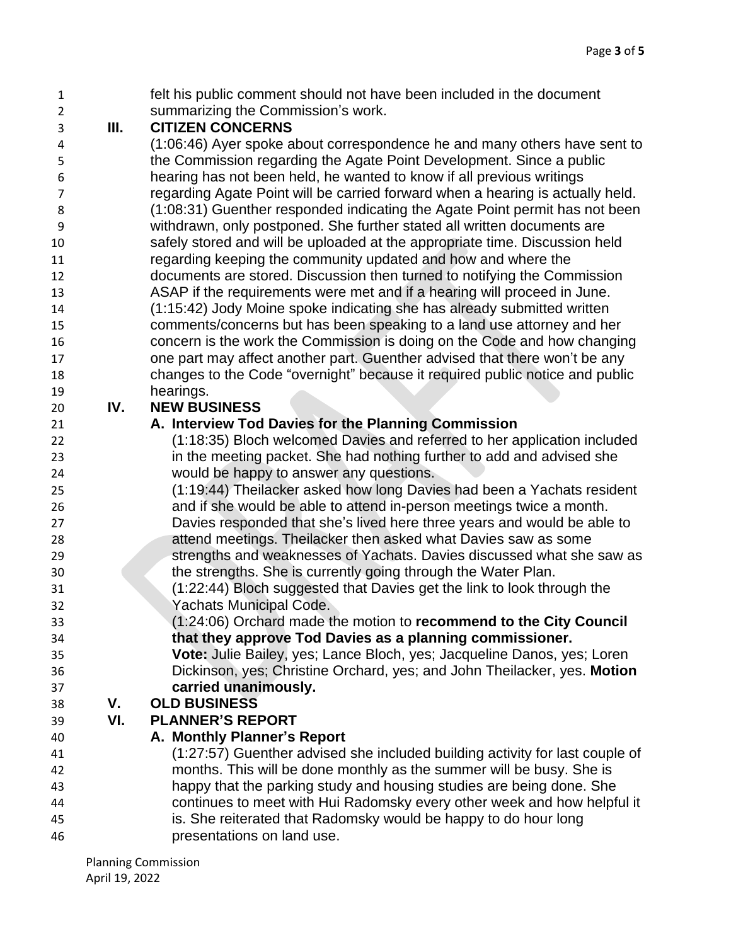felt his public comment should not have been included in the document summarizing the Commission's work.

# **III. CITIZEN CONCERNS**

 (1:06:46) Ayer spoke about correspondence he and many others have sent to the Commission regarding the Agate Point Development. Since a public hearing has not been held, he wanted to know if all previous writings regarding Agate Point will be carried forward when a hearing is actually held. (1:08:31) Guenther responded indicating the Agate Point permit has not been withdrawn, only postponed. She further stated all written documents are safely stored and will be uploaded at the appropriate time. Discussion held regarding keeping the community updated and how and where the documents are stored. Discussion then turned to notifying the Commission ASAP if the requirements were met and if a hearing will proceed in June. (1:15:42) Jody Moine spoke indicating she has already submitted written comments/concerns but has been speaking to a land use attorney and her concern is the work the Commission is doing on the Code and how changing one part may affect another part. Guenther advised that there won't be any changes to the Code "overnight" because it required public notice and public hearings.

## **IV. NEW BUSINESS**

## **A. Interview Tod Davies for the Planning Commission**

- (1:18:35) Bloch welcomed Davies and referred to her application included in the meeting packet. She had nothing further to add and advised she would be happy to answer any questions.
- (1:19:44) Theilacker asked how long Davies had been a Yachats resident and if she would be able to attend in-person meetings twice a month. Davies responded that she's lived here three years and would be able to attend meetings. Theilacker then asked what Davies saw as some strengths and weaknesses of Yachats. Davies discussed what she saw as
- the strengths. She is currently going through the Water Plan.
- (1:22:44) Bloch suggested that Davies get the link to look through the Yachats Municipal Code.
- (1:24:06) Orchard made the motion to **recommend to the City Council that they approve Tod Davies as a planning commissioner.**
- **Vote:** Julie Bailey, yes; Lance Bloch, yes; Jacqueline Danos, yes; Loren Dickinson, yes; Christine Orchard, yes; and John Theilacker, yes. **Motion carried unanimously.**

### **V. OLD BUSINESS**

# **VI. PLANNER'S REPORT**

- **A. Monthly Planner's Report**
- (1:27:57) Guenther advised she included building activity for last couple of months. This will be done monthly as the summer will be busy. She is happy that the parking study and housing studies are being done. She continues to meet with Hui Radomsky every other week and how helpful it is. She reiterated that Radomsky would be happy to do hour long presentations on land use.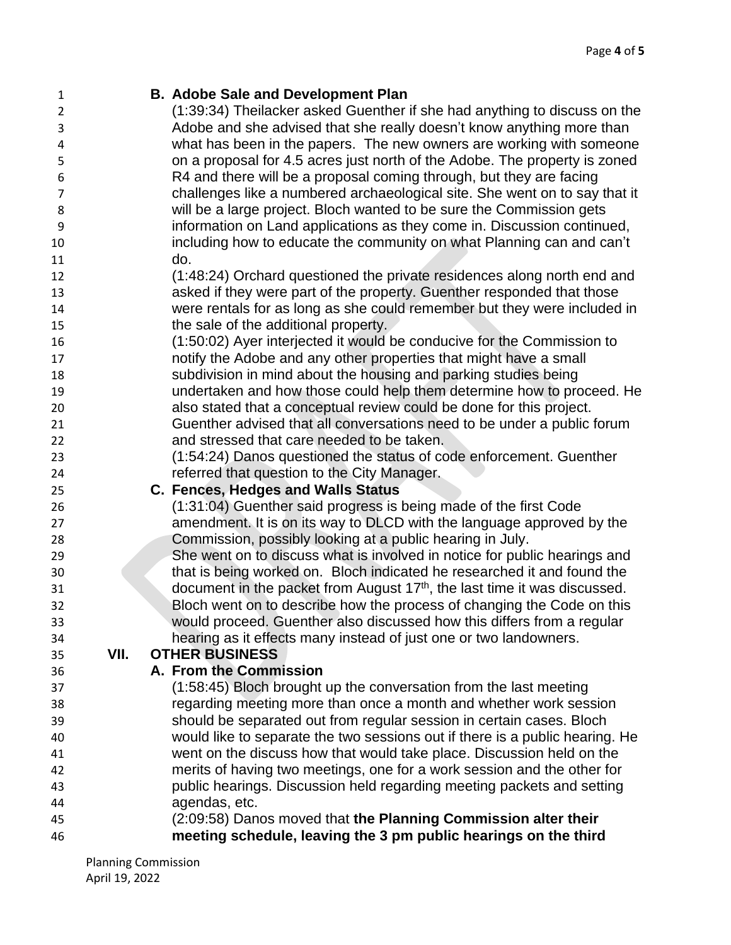| 1              |      | <b>B. Adobe Sale and Development Plan</b>                                    |
|----------------|------|------------------------------------------------------------------------------|
| $\overline{2}$ |      | (1:39:34) Theilacker asked Guenther if she had anything to discuss on the    |
| 3              |      | Adobe and she advised that she really doesn't know anything more than        |
| 4              |      | what has been in the papers. The new owners are working with someone         |
| 5              |      | on a proposal for 4.5 acres just north of the Adobe. The property is zoned   |
| 6              |      | R4 and there will be a proposal coming through, but they are facing          |
| $\overline{7}$ |      | challenges like a numbered archaeological site. She went on to say that it   |
| 8              |      | will be a large project. Bloch wanted to be sure the Commission gets         |
| 9              |      | information on Land applications as they come in. Discussion continued,      |
| 10             |      | including how to educate the community on what Planning can and can't        |
| 11             |      | do.                                                                          |
| 12             |      | (1:48:24) Orchard questioned the private residences along north end and      |
| 13             |      | asked if they were part of the property. Guenther responded that those       |
| 14             |      | were rentals for as long as she could remember but they were included in     |
| 15             |      | the sale of the additional property.                                         |
| 16             |      | (1:50:02) Ayer interjected it would be conducive for the Commission to       |
| 17             |      | notify the Adobe and any other properties that might have a small            |
| 18             |      | subdivision in mind about the housing and parking studies being              |
| 19             |      | undertaken and how those could help them determine how to proceed. He        |
| 20             |      | also stated that a conceptual review could be done for this project.         |
| 21             |      | Guenther advised that all conversations need to be under a public forum      |
| 22             |      | and stressed that care needed to be taken.                                   |
| 23             |      | (1:54:24) Danos questioned the status of code enforcement. Guenther          |
| 24             |      | referred that question to the City Manager.                                  |
| 25             |      | C. Fences, Hedges and Walls Status                                           |
| 26             |      | (1:31:04) Guenther said progress is being made of the first Code             |
| 27             |      | amendment. It is on its way to DLCD with the language approved by the        |
| 28             |      | Commission, possibly looking at a public hearing in July.                    |
| 29             |      | She went on to discuss what is involved in notice for public hearings and    |
| 30             |      | that is being worked on. Bloch indicated he researched it and found the      |
| 31             |      | document in the packet from August $17th$ , the last time it was discussed.  |
| 32             |      | Bloch went on to describe how the process of changing the Code on this       |
| 33             |      | would proceed. Guenther also discussed how this differs from a regular       |
| 34             |      | hearing as it effects many instead of just one or two landowners.            |
| 35             | VII. | <b>OTHER BUSINESS</b>                                                        |
| 36             |      | A. From the Commission                                                       |
| 37             |      | (1:58:45) Bloch brought up the conversation from the last meeting            |
| 38             |      | regarding meeting more than once a month and whether work session            |
| 39             |      | should be separated out from regular session in certain cases. Bloch         |
| 40             |      | would like to separate the two sessions out if there is a public hearing. He |
| 41             |      | went on the discuss how that would take place. Discussion held on the        |
| 42             |      | merits of having two meetings, one for a work session and the other for      |
| 43             |      | public hearings. Discussion held regarding meeting packets and setting       |
| 44             |      | agendas, etc.                                                                |
| 45             |      | (2:09:58) Danos moved that the Planning Commission alter their               |
| 46             |      | meeting schedule, leaving the 3 pm public hearings on the third              |